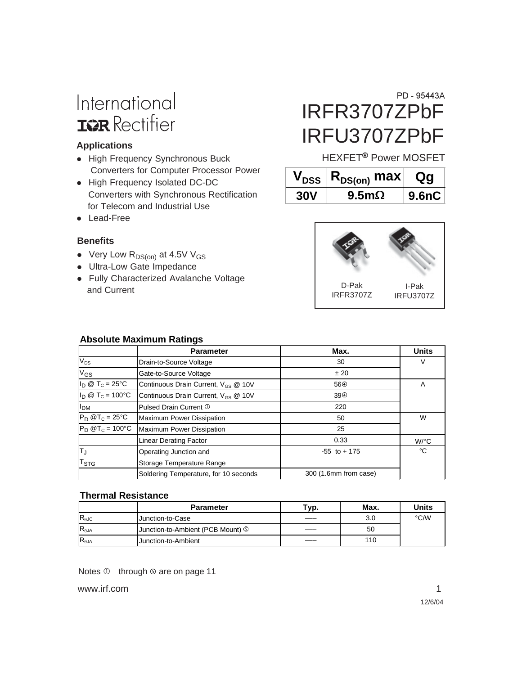# International **IGR** Rectifier

#### **Applications**

- High Frequency Synchronous Buck Converters for Computer Processor Power
- High Frequency Isolated DC-DC Converters with Synchronous Rectification for Telecom and Industrial Use
- Lead-Free

#### **Benefits**

- Very Low  $R_{DS(on)}$  at 4.5V V<sub>GS</sub>
- Ultra-Low Gate Impedance
- Fully Characterized Avalanche Voltage and Current

# IRFR3707ZPbF IRFU3707ZPbF PD - 95443A

HEXFET<sup>®</sup> Power MOSFET

|            | $V_{DSS}$ $ R_{DS(on)}$ max | Qa    |
|------------|-----------------------------|-------|
| <b>30V</b> | 9.5 <sub>m</sub>            | 9.6nC |



#### **Absolute Maximum Ratings**

|                                     | <b>Parameter</b>                                | Max.                       | <b>Units</b>         |
|-------------------------------------|-------------------------------------------------|----------------------------|----------------------|
| $V_{DS}$<br>Drain-to-Source Voltage |                                                 | 30                         | V                    |
| $V_{GS}$                            | Gate-to-Source Voltage                          | ± 20                       |                      |
| $I_D \otimes T_C = 25$ °C           | Continuous Drain Current, V <sub>GS</sub> @ 10V | 56 <sup><sup>①</sup></sup> | A                    |
| $I_D @ T_C = 100°C$                 | Continuous Drain Current, V <sub>GS</sub> @ 10V | 39 <sup>①</sup>            |                      |
| I <sub>DM</sub>                     | Pulsed Drain Current 1                          | 220                        |                      |
| $P_D$ @T <sub>C</sub> = 25°C        | Maximum Power Dissipation                       | 50                         | W                    |
| $P_D @T_C = 100°C$                  | Maximum Power Dissipation                       | 25                         |                      |
|                                     | <b>Linear Derating Factor</b>                   | 0.33                       | $W$ <sup>o</sup> $C$ |
| $ T_{\rm J}$                        | Operating Junction and                          | $-55$ to $+175$            | °C                   |
| T <sub>STG</sub>                    | Storage Temperature Range                       |                            |                      |
|                                     | Soldering Temperature, for 10 seconds           | 300 (1.6mm from case)      |                      |

#### **Thermal Resistance**

|                 | <b>Parameter</b>                  | тур. | Max. | Units |
|-----------------|-----------------------------------|------|------|-------|
| $R_{\theta$ JC  | Junction-to-Case                  |      | 3.0  | °C/W  |
| $R_{\theta$ JA  | Junction-to-Ambient (PCB Mount) 5 |      | 50   |       |
| $R_{\theta JA}$ | Junction-to-Ambient               |      | 110  |       |

Notes  $\Phi$  through  $\Phi$  are on page 11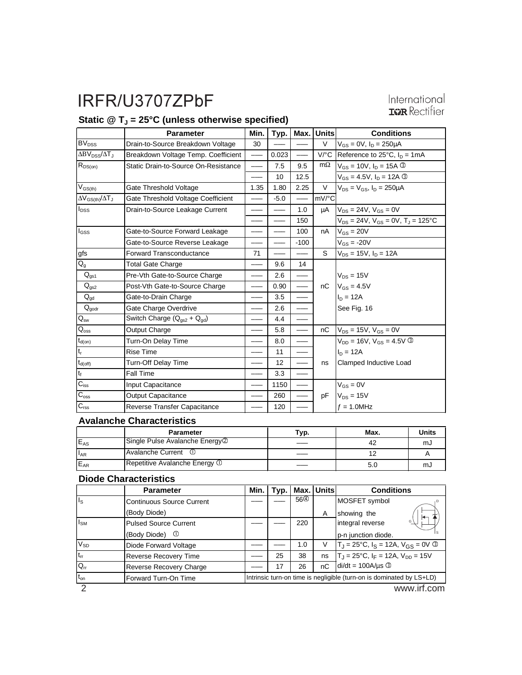## International **IGR** Rectifier

## Static @ T<sub>J</sub> = 25°C (unless otherwise specified)

|                                | <b>Parameter</b>                                 | Min. | Typ.   |        | Max. Units           | <b>Conditions</b>                            |
|--------------------------------|--------------------------------------------------|------|--------|--------|----------------------|----------------------------------------------|
| <b>BV<sub>DSS</sub></b>        | Drain-to-Source Breakdown Voltage                | 30   |        |        | V                    | $V_{GS} = 0V$ , $I_D = 250 \mu A$            |
| $\Delta BV_{DSS}/\Delta T_J$   | Breakdown Voltage Temp. Coefficient              |      | 0.023  |        | $V$ <sup>o</sup> $C$ | Reference to $25^{\circ}$ C, $I_D = 1$ mA    |
| $R_{DS(on)}$                   | Static Drain-to-Source On-Resistance             |      | 7.5    | 9.5    | $m\Omega$            | $V_{GS} = 10V$ , $I_D = 15A$ 3               |
|                                |                                                  |      | 10     | 12.5   |                      | $V_{GS} = 4.5V$ , $I_D = 12A$ ©              |
| $V_{GS(th)}$                   | Gate Threshold Voltage                           | 1.35 | 1.80   | 2.25   | $\vee$               | $V_{DS} = V_{GS}$ , $I_D = 250 \mu A$        |
| $\Delta V_{GS(th)}/\Delta T_J$ | Gate Threshold Voltage Coefficient               |      | $-5.0$ |        | mV/°C                |                                              |
| $I_{DSS}$                      | Drain-to-Source Leakage Current                  |      |        | 1.0    | μA                   | $V_{DS} = 24V$ , $V_{GS} = 0V$               |
|                                |                                                  |      |        | 150    |                      | $V_{DS}$ = 24V, $V_{GS}$ = 0V, $T_J$ = 125°C |
| l <sub>GSS</sub>               | Gate-to-Source Forward Leakage                   |      |        | 100    | nA                   | $V_{GS} = 20V$                               |
|                                | Gate-to-Source Reverse Leakage                   |      |        | $-100$ |                      | $V_{GS}$ = -20V                              |
| gfs                            | <b>Forward Transconductance</b>                  | 71   |        |        | S                    | $V_{DS} = 15V$ , $I_D = 12A$                 |
| $Q_{g}$                        | <b>Total Gate Charge</b>                         |      | 9.6    | 14     |                      |                                              |
| $Q_{qs1}$                      | Pre-Vth Gate-to-Source Charge                    |      | 2.6    |        |                      | $V_{DS} = 15V$                               |
| $Q_{gs2}$                      | Post-Vth Gate-to-Source Charge                   |      | 0.90   |        | nC                   | $V_{GS} = 4.5V$                              |
| $Q_{\text{dd}}$                | Gate-to-Drain Charge                             |      | 3.5    |        |                      | $I_D = 12A$                                  |
| $Q_{\text{godr}}$              | Gate Charge Overdrive                            |      | 2.6    |        |                      | See Fig. 16                                  |
| $Q_{\rm sw}$                   | Switch Charge $(Q_{\text{as2}} + Q_{\text{ad}})$ |      | 4.4    |        |                      |                                              |
| $\mathsf{Q}_\mathsf{oss}$      | Output Charge                                    |      | 5.8    |        | nC                   | $V_{DS}$ = 15V, $V_{GS}$ = 0V                |
| $t_{\text{d}(on)}$             | Turn-On Delay Time                               |      | 8.0    |        |                      | $V_{DD} = 16V$ , $V_{GS} = 4.5V$ 3           |
| $\mathsf{t}_\mathsf{r}$        | <b>Rise Time</b>                                 |      | 11     |        |                      | $I_D = 12A$                                  |
| $t_{d(off)}$                   | Turn-Off Delay Time                              |      | 12     |        | ns                   | Clamped Inductive Load                       |
| $\mathbf{t}_\text{f}$          | <b>Fall Time</b>                                 |      | 3.3    |        |                      |                                              |
| $C_{iss}$                      | Input Capacitance                                |      | 1150   |        |                      | $V_{GS} = 0V$                                |
| $C_{\rm oss}$                  | <b>Output Capacitance</b>                        |      | 260    |        | pF                   | $V_{DS} = 15V$                               |
| $C_{\text{rss}}$               | Reverse Transfer Capacitance                     |      | 120    |        |                      | $f = 1.0$ MHz                                |

#### **Avalanche Characteristics**

|                 | <b>Parameter</b>               | Typ. | Max. | Units |
|-----------------|--------------------------------|------|------|-------|
| $E_{AS}$        | Single Pulse Avalanche Energy@ |      | 42   | സം    |
| $I_{AR}$        | IAvalanche Current ①           |      |      |       |
| E <sub>AR</sub> | Repetitive Avalanche Energy 1  |      |      | സം    |

#### **Diode Characteristics**

|            | <b>Parameter</b>                 | Min.                                                                 | Tvp. |                            | Max. Units | <b>Conditions</b>                                   |  |
|------------|----------------------------------|----------------------------------------------------------------------|------|----------------------------|------------|-----------------------------------------------------|--|
| $I_S$      | <b>Continuous Source Current</b> |                                                                      |      | 56 <sup><sup>①</sup></sup> |            | MOSFET symbol                                       |  |
|            | (Body Diode)                     |                                                                      |      |                            | A          | showing the                                         |  |
| $I_{SM}$   | <b>Pulsed Source Current</b>     |                                                                      |      | 220                        |            | integral reverse                                    |  |
|            | (Body Diode)<br>⊙                |                                                                      |      |                            |            | p-n junction diode.                                 |  |
| $V_{SD}$   | Diode Forward Voltage            |                                                                      |      | 1.0                        | V          | $T_J = 25^{\circ}C$ , $I_S = 12A$ , $V_{GS} = 0V$ 3 |  |
| $ t_{rr} $ | Reverse Recovery Time            |                                                                      | 25   | 38                         | ns         | $T_{\parallel}$ = 25°C, $I_F$ = 12A, $V_{DD}$ = 15V |  |
| $Q_{rr}$   | Reverse Recovery Charge          |                                                                      | 17   | 26                         | nC         | $di/dt = 100A/\mu s$ <sup>3</sup>                   |  |
| $t_{on}$   | Forward Turn-On Time             | Intrinsic turn-on time is negligible (turn-on is dominated by LS+LD) |      |                            |            |                                                     |  |
|            |                                  |                                                                      |      |                            |            | www.irf.com                                         |  |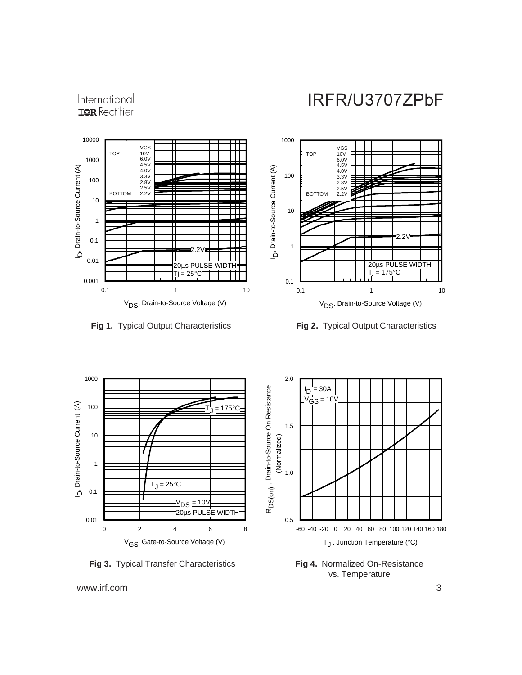

International



**Fig 1.** Typical Output Characteristics **Fig 2.** Typical Output Characteristics





**Fig 3.** Typical Transfer Characteristics

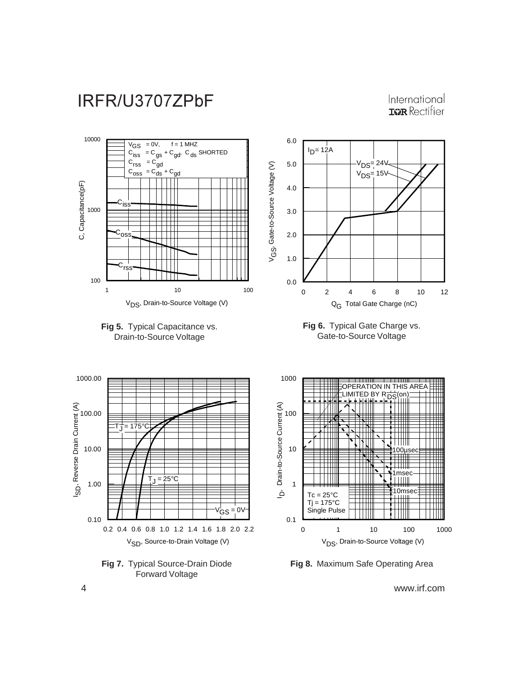

International **IGR** Rectifier



**Fig 8.** Maximum Safe Operating Area

4 www.irf.com

Forward Voltage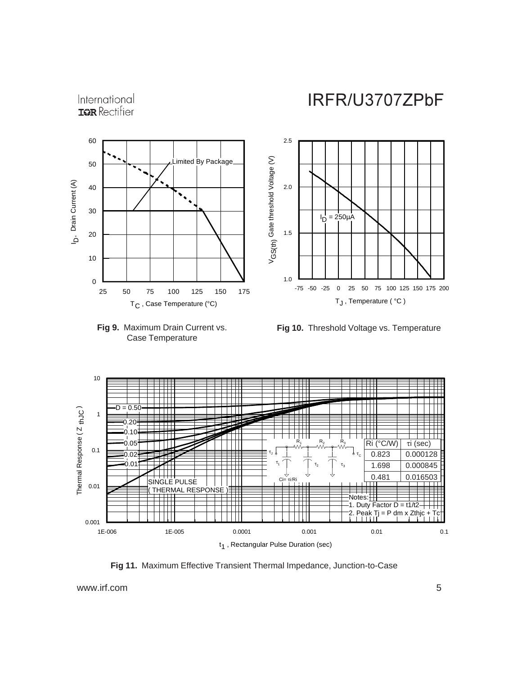



**Fig 10.** Threshold Voltage vs. Temperature



**Fig 11.** Maximum Effective Transient Thermal Impedance, Junction-to-Case

www.irf.com 5

International **IGR** Rectifier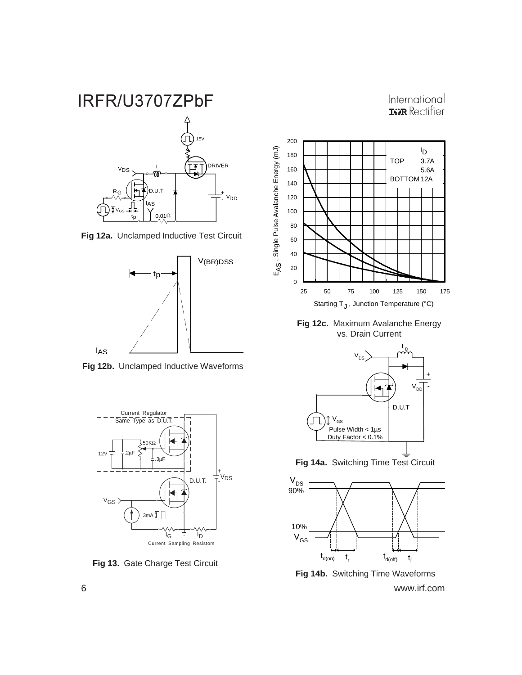

**Fig 12a.** Unclamped Inductive Test Circuit



**Fig 12b.** Unclamped Inductive Waveforms



**Fig 13.** Gate Charge Test Circuit



International **IGR** Rectifier

**Fig 12c.** Maximum Avalanche Energy vs. Drain Current



**Fig 14a.** Switching Time Test Circuit



6 www.irf.com **Fig 14b.** Switching Time Waveforms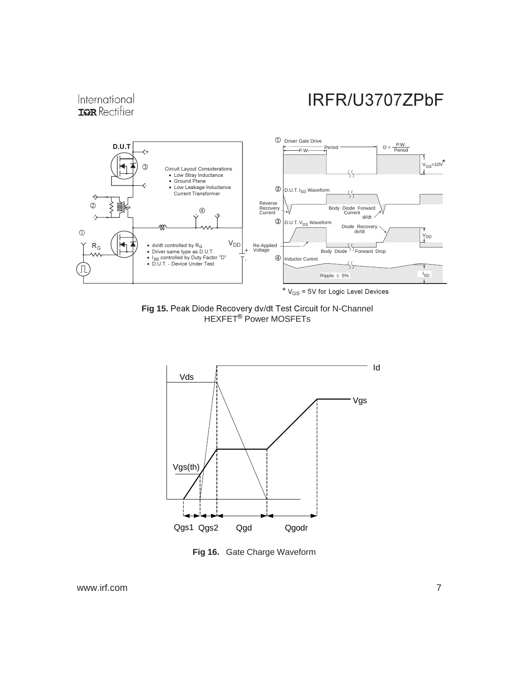

Fig 15. Peak Diode Recovery dv/dt Test Circuit for N-Channel HEXFET<sup>®</sup> Power MOSFETs



**Fig 16.** Gate Charge Waveform

www.irf.com 7

International **IGR** Rectifier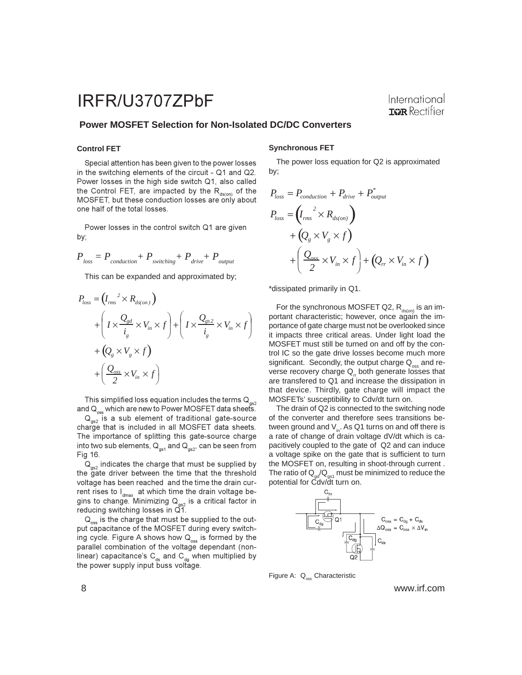#### **Power MOSFET Selection for Non-Isolated DC/DC Converters**

#### **Control FET**

Special attention has been given to the power losses in the switching elements of the circuit - Q1 and Q2. Power losses in the high side switch Q1, also called the Control FET, are impacted by the R<sub>ds(on)</sub> of the MOSFET, but these conduction losses are only about one half of the total losses.

Power losses in the control switch Q1 are given by;

$$
P_{\text{loss}} = P_{\text{conduction}} + P_{\text{switching}} + P_{\text{drive}} + P_{\text{output}}
$$

This can be expanded and approximated by;

$$
P_{loss} = (I_{rms}^{2} \times R_{ds(m)})
$$
  
+ 
$$
\left(I \times \frac{Q_{gd}}{i_g} \times V_{in} \times f\right) + \left(I \times \frac{Q_{gs2}}{i_g} \times V_{in} \times f\right)
$$
  
+ 
$$
\left(Q_g \times V_g \times f\right)
$$
  
+ 
$$
\left(\frac{Q_{oss}}{2} \times V_{in} \times f\right)
$$

This simplified loss equation includes the terms  $\mathsf{Q}_{_{\mathsf{gs2}}}$ and  $\mathsf{Q}_\mathsf{oss}$  which are new to Power MOSFET data sheets.

 $\mathsf{Q}_{_{\mathsf{gs2}}}$  is a sub element of traditional gate-source charge that is included in all MOSFET data sheets. The importance of splitting this gate-source charge into two sub elements,  $\text{Q}_\text{\tiny{gs1}}$  and  $\text{Q}_\text{\tiny{gs2}},$  can be seen from Fig 16.

 $\mathsf{Q}_{_{\mathsf{gs2}}}$  indicates the charge that must be supplied by the gate driver between the time that the threshold voltage has been reached and the time the drain current rises to I $_{\sf dmax}^{}$  at which time the drain voltage begins to change. Minimizing  ${\sf Q}_{_{\sf gs2}}$  is a critical factor in reducing switching losses in Q1.

 $\mathsf{Q}_\mathrm{oss}$  is the charge that must be supplied to the output capacitance of the MOSFET during every switching cycle. Figure A shows how  $\mathsf{Q}_{_{\mathrm{oss}}}$  is formed by the parallel combination of the voltage dependant (nonlinear) capacitance's C<sub>ds</sub> and C<sub>dg</sub> when multiplied by the power supply input buss voltage.

#### **Synchronous FET**

The power loss equation for Q2 is approximated by;

$$
P_{loss} = P_{conduction} + P_{drive} + P_{output}^*
$$
  
\n
$$
P_{loss} = (I_{rms}^2 \times R_{ds,on})
$$
  
\n
$$
+ (Q_{g} \times V_{g} \times f)
$$
  
\n
$$
+ (\frac{Q_{osc}}{2} \times V_{in} \times f) + (Q_{rr} \times V_{in} \times f)
$$

\*dissipated primarily in Q1.

For the synchronous MOSFET Q2,  $R_{ds(on)}$  is an important characteristic; however, once again the importance of gate charge must not be overlooked since it impacts three critical areas. Under light load the MOSFET must still be turned on and off by the control IC so the gate drive losses become much more significant. Secondly, the output charge  $Q_{\text{max}}$  and reverse recovery charge  $Q<sub>r</sub>$  both generate losses that are transfered to Q1 and increase the dissipation in that device. Thirdly, gate charge will impact the MOSFETs' susceptibility to Cdv/dt turn on.

The drain of Q2 is connected to the switching node of the converter and therefore sees transitions between ground and  $V_{in}$ . As Q1 turns on and off there is a rate of change of drain voltage dV/dt which is capacitively coupled to the gate of Q2 and can induce a voltage spike on the gate that is sufficient to turn the MOSFET on, resulting in shoot-through current . The ratio of  $Q_{\text{ad}}/Q_{\text{as1}}$  must be minimized to reduce the potential for Cdv/dt turn on.



Figure A: Q<sub>oss</sub> Characteristic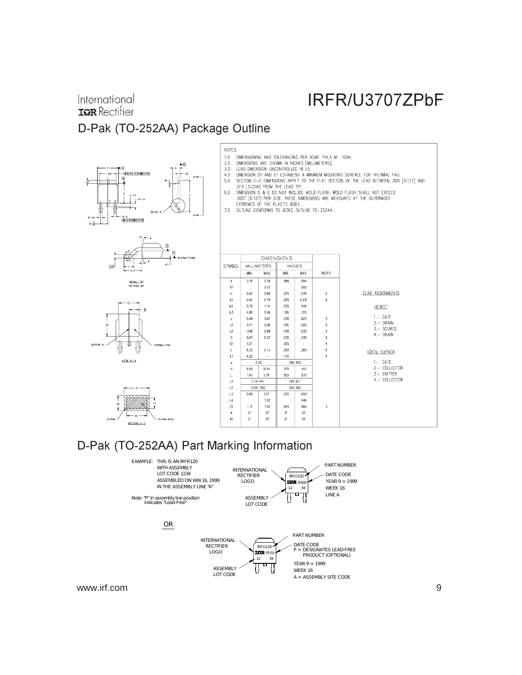## International **IGR** Rectifier D-Pak (TO-252AA) Package Outline











IRFR/U3707ZPbF

## D-Pak (TO-252AA) Part Marking Information

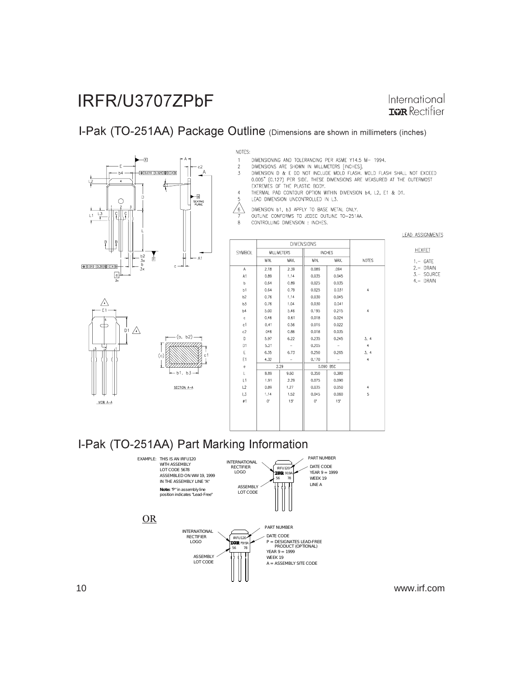International **IGR** Rectifier

## I-Pak (TO-251AA) Package Outline (Dimensions are shown in millimeters (inches)



 $\triangle$  $-E1$ 

VIEW A-A

 $\frac{1}{21}$   $\triangle$ 

#### NOTES:

- DIMENSIONING AND TOLERANCING PER ASME Y14.5 M- 1994.  $\,$  1  $\,$
- $\overline{c}$ DIMENSIONS ARE SHOWN IN MILLIMETERS [INCHES].
- DIMENSION D & E DO NOT INCLUDE MOLD FLASH, MOLD FLASH SHALL NOT EXCEED  $\overline{3}$ 0.005" (0.127) PER SIDE. THESE DIMENSIONS ARE MEASURED AT THE OUTERMOST EXTREMES OF THE PLASTIC BODY.
- THERMAL PAD CONTOUR OPTION WITHIN DIMENSION 64, L2, E1 & D1.<br>LEAD DIMENSION UNCONTROLLED IN L3. 5
- 
- $\sqrt{6}$ DIMENSION b1, b3 APPLY TO BASE METAL ONLY. OUTLINE CONFORMS TO JEDEC OUTLINE TO-251AA. 8 CONTROLLING DIMENSION : INCHES,
- **LEAD ASSIGNMENTS**

| SYMBOL         | <b>MILLIMETERS</b> |            | <b>INCHES</b> |                 |                     |
|----------------|--------------------|------------|---------------|-----------------|---------------------|
|                | MIN.               | MAX.       | MIN.          | MAX.            | <b>NOTES</b>        |
| A              | 2.18               | 2.39       | 0.086         | .094            |                     |
| A1             | 0,89               | 1,14       | 0.035         | 0.045           |                     |
| b              | 0.64               | 0.89       | 0.025         | 0.035           |                     |
| b1             | 0.64               | 0.79       | 0.025         | 0.031           | 4                   |
| b2             | 0.76               | 1,14       | 0.030         | 0.045           |                     |
| b3             | 0.76               | 1,04       | 0.030         | 0,041           |                     |
| b4             | 5.00               | 5.46       | 0.195         | 0.215           | $\overline{\bf{4}}$ |
| $\mathbf c$    | 0.46               | 0.61       | 0.018         | 0.024           |                     |
| c1             | 0,41               | 0.56       | 0.016         | 0.022           |                     |
| c2             | .046               | 0.86       | 0.018         | 0.035           |                     |
| D              | 5,97               | 6,22       | 0.235         | 0,245           | 3, 4                |
| D <sub>1</sub> | 5,21               |            | 0.205         |                 | $\overline{4}$      |
| E              | 6.35               | 6,73       | 0.250         | 0.265           | 3.4                 |
| E1             | 4.32               |            | 0,170         |                 | 4                   |
| e              |                    | 2.29       |               | 0,090 BSC       |                     |
| L              | 8.89               | 9.60       | 0.350         | 0.380           |                     |
| L1             | 1.91               | 2.29       | 0.075         | 0.090           |                     |
| L2             | 0,89               | 1,27       | 0.035         | 0,050           | $\ddot{4}$          |
| L3             | 1,14               | 1,52       | 0.045         | 0.060           | 5                   |
| 01             | O.                 | $15^\circ$ | 0.            | 15 <sup>°</sup> |                     |
|                |                    |            |               |                 |                     |
|                |                    |            |               |                 |                     |
|                |                    |            |               |                 |                     |

#### HEXFET  $1. -$  GATE 2.- DRAIN

3.- SOURCE 4.- DRAIN

## I-Pak (TO-251AA) Part Marking Information

 $(b, b2)$ 7777777

b1. b3 SECTION A-A

(c)